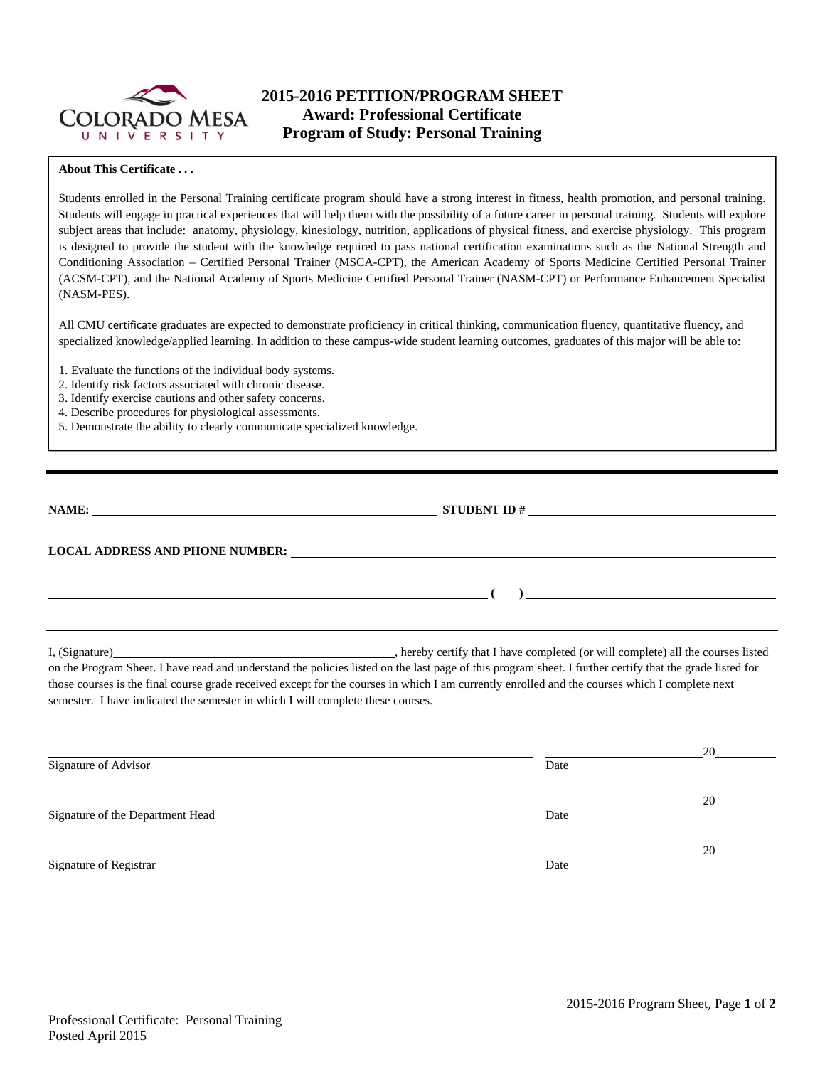

# **2015-2016 PETITION/PROGRAM SHEET Award: Professional Certificate Program of Study: Personal Training**

#### **About This Certificate . . .**

Students enrolled in the Personal Training certificate program should have a strong interest in fitness, health promotion, and personal training. Students will engage in practical experiences that will help them with the possibility of a future career in personal training. Students will explore subject areas that include: anatomy, physiology, kinesiology, nutrition, applications of physical fitness, and exercise physiology. This program is designed to provide the student with the knowledge required to pass national certification examinations such as the National Strength and Conditioning Association – Certified Personal Trainer (MSCA-CPT), the American Academy of Sports Medicine Certified Personal Trainer (ACSM-CPT), and the National Academy of Sports Medicine Certified Personal Trainer (NASM-CPT) or Performance Enhancement Specialist (NASM-PES).

All CMU certificate graduates are expected to demonstrate proficiency in critical thinking, communication fluency, quantitative fluency, and specialized knowledge/applied learning. In addition to these campus-wide student learning outcomes, graduates of this major will be able to:

- 1. Evaluate the functions of the individual body systems.
- 2. Identify risk factors associated with chronic disease.
- 3. Identify exercise cautions and other safety concerns.
- 4. Describe procedures for physiological assessments.
- 5. Demonstrate the ability to clearly communicate specialized knowledge.

| NAME:                           |  |
|---------------------------------|--|
| LOCAL ADDRESS AND PHONE NUMBER: |  |
|                                 |  |

I, (Signature) **Solution** , hereby certify that I have completed (or will complete) all the courses listed on the Program Sheet. I have read and understand the policies listed on the last page of this program sheet. I further certify that the grade listed for those courses is the final course grade received except for the courses in which I am currently enrolled and the courses which I complete next semester. I have indicated the semester in which I will complete these courses.

|                                  |      | 20 |
|----------------------------------|------|----|
| Signature of Advisor             | Date |    |
|                                  |      | 20 |
| Signature of the Department Head | Date |    |
|                                  |      | 20 |
| Signature of Registrar           | Date |    |